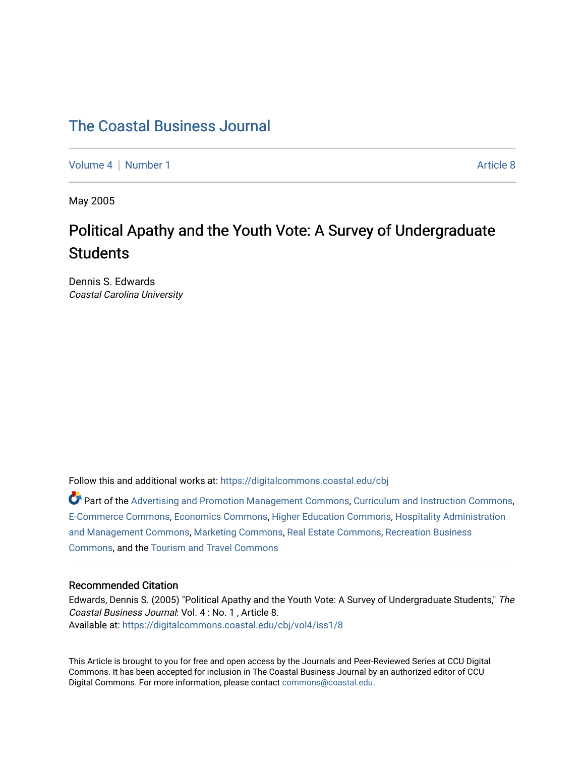# [The Coastal Business Journal](https://digitalcommons.coastal.edu/cbj)

[Volume 4](https://digitalcommons.coastal.edu/cbj/vol4) | [Number 1](https://digitalcommons.coastal.edu/cbj/vol4/iss1) Article 8

May 2005

# Political Apathy and the Youth Vote: A Survey of Undergraduate **Students**

Dennis S. Edwards Coastal Carolina University

Follow this and additional works at: [https://digitalcommons.coastal.edu/cbj](https://digitalcommons.coastal.edu/cbj?utm_source=digitalcommons.coastal.edu%2Fcbj%2Fvol4%2Fiss1%2F8&utm_medium=PDF&utm_campaign=PDFCoverPages) 

Part of the [Advertising and Promotion Management Commons,](http://network.bepress.com/hgg/discipline/626?utm_source=digitalcommons.coastal.edu%2Fcbj%2Fvol4%2Fiss1%2F8&utm_medium=PDF&utm_campaign=PDFCoverPages) [Curriculum and Instruction Commons,](http://network.bepress.com/hgg/discipline/786?utm_source=digitalcommons.coastal.edu%2Fcbj%2Fvol4%2Fiss1%2F8&utm_medium=PDF&utm_campaign=PDFCoverPages) [E-Commerce Commons,](http://network.bepress.com/hgg/discipline/624?utm_source=digitalcommons.coastal.edu%2Fcbj%2Fvol4%2Fiss1%2F8&utm_medium=PDF&utm_campaign=PDFCoverPages) [Economics Commons](http://network.bepress.com/hgg/discipline/340?utm_source=digitalcommons.coastal.edu%2Fcbj%2Fvol4%2Fiss1%2F8&utm_medium=PDF&utm_campaign=PDFCoverPages), [Higher Education Commons](http://network.bepress.com/hgg/discipline/1245?utm_source=digitalcommons.coastal.edu%2Fcbj%2Fvol4%2Fiss1%2F8&utm_medium=PDF&utm_campaign=PDFCoverPages), [Hospitality Administration](http://network.bepress.com/hgg/discipline/632?utm_source=digitalcommons.coastal.edu%2Fcbj%2Fvol4%2Fiss1%2F8&utm_medium=PDF&utm_campaign=PDFCoverPages) [and Management Commons,](http://network.bepress.com/hgg/discipline/632?utm_source=digitalcommons.coastal.edu%2Fcbj%2Fvol4%2Fiss1%2F8&utm_medium=PDF&utm_campaign=PDFCoverPages) [Marketing Commons](http://network.bepress.com/hgg/discipline/638?utm_source=digitalcommons.coastal.edu%2Fcbj%2Fvol4%2Fiss1%2F8&utm_medium=PDF&utm_campaign=PDFCoverPages), [Real Estate Commons](http://network.bepress.com/hgg/discipline/641?utm_source=digitalcommons.coastal.edu%2Fcbj%2Fvol4%2Fiss1%2F8&utm_medium=PDF&utm_campaign=PDFCoverPages), [Recreation Business](http://network.bepress.com/hgg/discipline/1083?utm_source=digitalcommons.coastal.edu%2Fcbj%2Fvol4%2Fiss1%2F8&utm_medium=PDF&utm_campaign=PDFCoverPages) [Commons](http://network.bepress.com/hgg/discipline/1083?utm_source=digitalcommons.coastal.edu%2Fcbj%2Fvol4%2Fiss1%2F8&utm_medium=PDF&utm_campaign=PDFCoverPages), and the [Tourism and Travel Commons](http://network.bepress.com/hgg/discipline/1082?utm_source=digitalcommons.coastal.edu%2Fcbj%2Fvol4%2Fiss1%2F8&utm_medium=PDF&utm_campaign=PDFCoverPages)

#### Recommended Citation

Edwards, Dennis S. (2005) "Political Apathy and the Youth Vote: A Survey of Undergraduate Students," The Coastal Business Journal: Vol. 4 : No. 1 , Article 8. Available at: [https://digitalcommons.coastal.edu/cbj/vol4/iss1/8](https://digitalcommons.coastal.edu/cbj/vol4/iss1/8?utm_source=digitalcommons.coastal.edu%2Fcbj%2Fvol4%2Fiss1%2F8&utm_medium=PDF&utm_campaign=PDFCoverPages)

This Article is brought to you for free and open access by the Journals and Peer-Reviewed Series at CCU Digital Commons. It has been accepted for inclusion in The Coastal Business Journal by an authorized editor of CCU Digital Commons. For more information, please contact [commons@coastal.edu](mailto:commons@coastal.edu).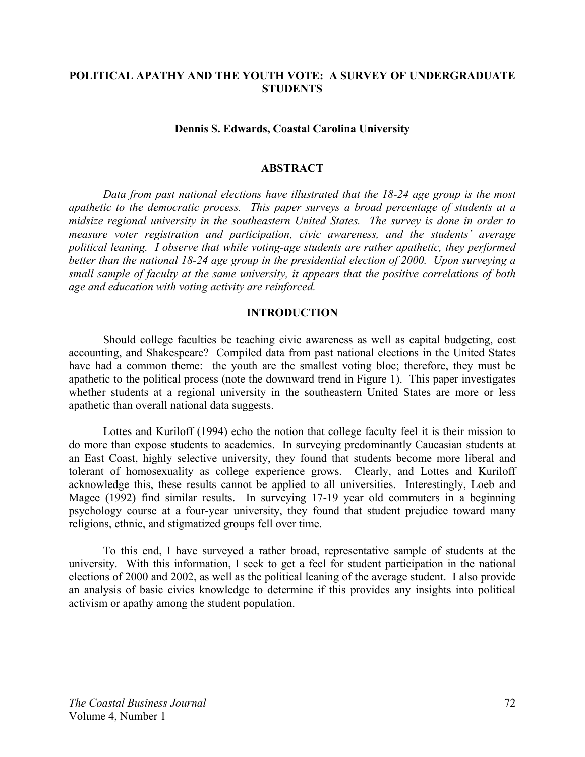# **POLITICAL APATHY AND THE YOUTH VOTE: A SURVEY OF UNDERGRADUATE STUDENTS**

#### **Dennis S. Edwards, Coastal Carolina University**

#### **ABSTRACT**

*Data from past national elections have illustrated that the 18-24 age group is the most apathetic to the democratic process. This paper surveys a broad percentage of students at a midsize regional university in the southeastern United States. The survey is done in order to measure voter registration and participation, civic awareness, and the students' average political leaning. I observe that while voting-age students are rather apathetic, they performed better than the national 18-24 age group in the presidential election of 2000. Upon surveying a small sample of faculty at the same university, it appears that the positive correlations of both age and education with voting activity are reinforced.* 

#### **INTRODUCTION**

 Should college faculties be teaching civic awareness as well as capital budgeting, cost accounting, and Shakespeare? Compiled data from past national elections in the United States have had a common theme: the youth are the smallest voting bloc; therefore, they must be apathetic to the political process (note the downward trend in Figure 1). This paper investigates whether students at a regional university in the southeastern United States are more or less apathetic than overall national data suggests.

 Lottes and Kuriloff (1994) echo the notion that college faculty feel it is their mission to do more than expose students to academics. In surveying predominantly Caucasian students at an East Coast, highly selective university, they found that students become more liberal and tolerant of homosexuality as college experience grows. Clearly, and Lottes and Kuriloff acknowledge this, these results cannot be applied to all universities. Interestingly, Loeb and Magee (1992) find similar results. In surveying 17-19 year old commuters in a beginning psychology course at a four-year university, they found that student prejudice toward many religions, ethnic, and stigmatized groups fell over time.

 To this end, I have surveyed a rather broad, representative sample of students at the university. With this information, I seek to get a feel for student participation in the national elections of 2000 and 2002, as well as the political leaning of the average student. I also provide an analysis of basic civics knowledge to determine if this provides any insights into political activism or apathy among the student population.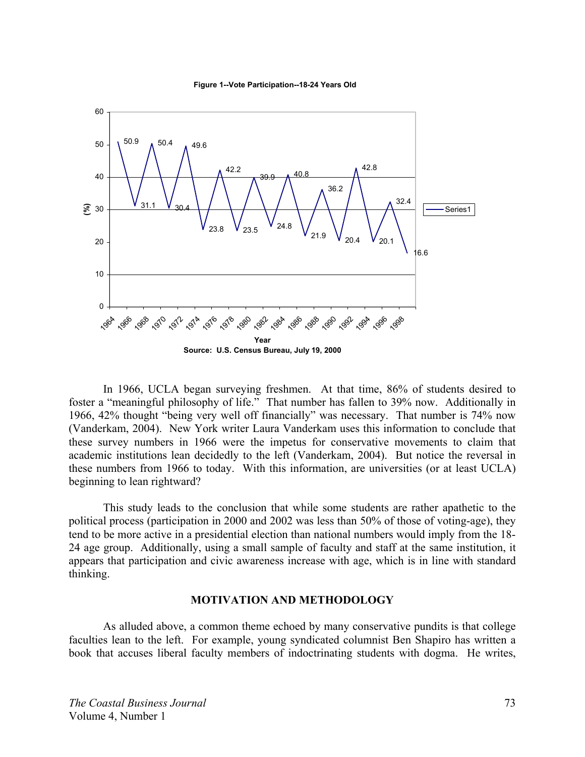

**Figure 1--Vote Participation--18-24 Years Old**

 In 1966, UCLA began surveying freshmen. At that time, 86% of students desired to foster a "meaningful philosophy of life." That number has fallen to 39% now. Additionally in 1966, 42% thought "being very well off financially" was necessary. That number is 74% now (Vanderkam, 2004). New York writer Laura Vanderkam uses this information to conclude that these survey numbers in 1966 were the impetus for conservative movements to claim that academic institutions lean decidedly to the left (Vanderkam, 2004). But notice the reversal in these numbers from 1966 to today. With this information, are universities (or at least UCLA) beginning to lean rightward?

 This study leads to the conclusion that while some students are rather apathetic to the political process (participation in 2000 and 2002 was less than 50% of those of voting-age), they tend to be more active in a presidential election than national numbers would imply from the 18- 24 age group. Additionally, using a small sample of faculty and staff at the same institution, it appears that participation and civic awareness increase with age, which is in line with standard thinking.

# **MOTIVATION AND METHODOLOGY**

 As alluded above, a common theme echoed by many conservative pundits is that college faculties lean to the left. For example, young syndicated columnist Ben Shapiro has written a book that accuses liberal faculty members of indoctrinating students with dogma. He writes,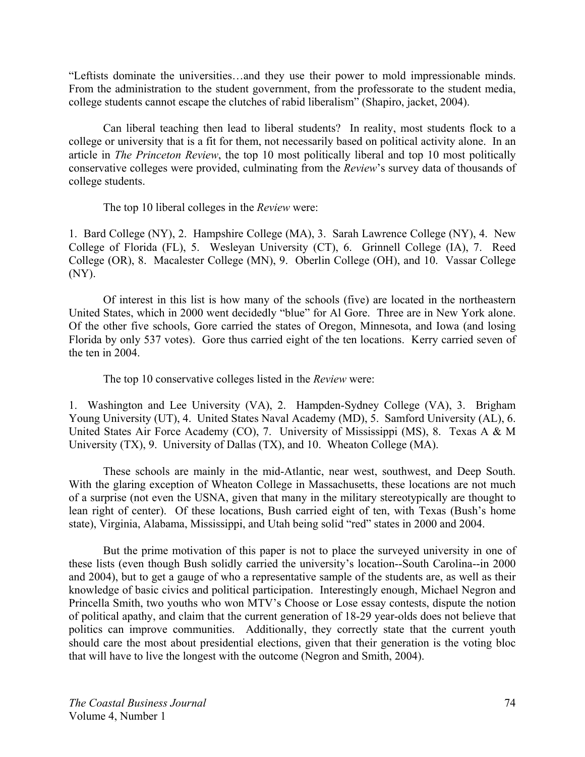"Leftists dominate the universities…and they use their power to mold impressionable minds. From the administration to the student government, from the professorate to the student media, college students cannot escape the clutches of rabid liberalism" (Shapiro, jacket, 2004).

Can liberal teaching then lead to liberal students? In reality, most students flock to a college or university that is a fit for them, not necessarily based on political activity alone. In an article in *The Princeton Review*, the top 10 most politically liberal and top 10 most politically conservative colleges were provided, culminating from the *Review*'s survey data of thousands of college students.

The top 10 liberal colleges in the *Review* were:

1. Bard College (NY), 2. Hampshire College (MA), 3. Sarah Lawrence College (NY), 4. New College of Florida (FL), 5. Wesleyan University (CT), 6. Grinnell College (IA), 7. Reed College (OR), 8. Macalester College (MN), 9. Oberlin College (OH), and 10. Vassar College (NY).

 Of interest in this list is how many of the schools (five) are located in the northeastern United States, which in 2000 went decidedly "blue" for Al Gore. Three are in New York alone. Of the other five schools, Gore carried the states of Oregon, Minnesota, and Iowa (and losing Florida by only 537 votes). Gore thus carried eight of the ten locations. Kerry carried seven of the ten in 2004.

The top 10 conservative colleges listed in the *Review* were:

1. Washington and Lee University (VA), 2. Hampden-Sydney College (VA), 3. Brigham Young University (UT), 4. United States Naval Academy (MD), 5. Samford University (AL), 6. United States Air Force Academy (CO), 7. University of Mississippi (MS), 8. Texas A & M University (TX), 9. University of Dallas (TX), and 10. Wheaton College (MA).

 These schools are mainly in the mid-Atlantic, near west, southwest, and Deep South. With the glaring exception of Wheaton College in Massachusetts, these locations are not much of a surprise (not even the USNA, given that many in the military stereotypically are thought to lean right of center). Of these locations, Bush carried eight of ten, with Texas (Bush's home state), Virginia, Alabama, Mississippi, and Utah being solid "red" states in 2000 and 2004.

 But the prime motivation of this paper is not to place the surveyed university in one of these lists (even though Bush solidly carried the university's location--South Carolina--in 2000 and 2004), but to get a gauge of who a representative sample of the students are, as well as their knowledge of basic civics and political participation. Interestingly enough, Michael Negron and Princella Smith, two youths who won MTV's Choose or Lose essay contests, dispute the notion of political apathy, and claim that the current generation of 18-29 year-olds does not believe that politics can improve communities. Additionally, they correctly state that the current youth should care the most about presidential elections, given that their generation is the voting bloc that will have to live the longest with the outcome (Negron and Smith, 2004).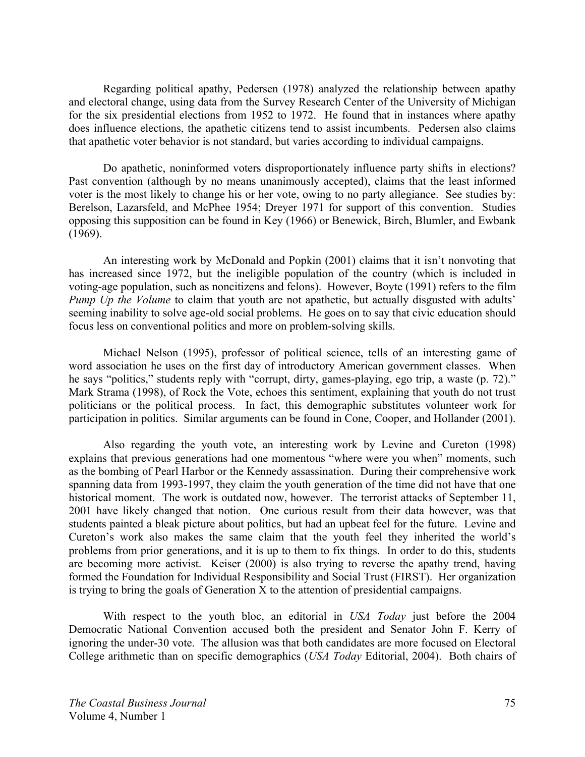Regarding political apathy, Pedersen (1978) analyzed the relationship between apathy and electoral change, using data from the Survey Research Center of the University of Michigan for the six presidential elections from 1952 to 1972. He found that in instances where apathy does influence elections, the apathetic citizens tend to assist incumbents. Pedersen also claims that apathetic voter behavior is not standard, but varies according to individual campaigns.

 Do apathetic, noninformed voters disproportionately influence party shifts in elections? Past convention (although by no means unanimously accepted), claims that the least informed voter is the most likely to change his or her vote, owing to no party allegiance. See studies by: Berelson, Lazarsfeld, and McPhee 1954; Dreyer 1971 for support of this convention. Studies opposing this supposition can be found in Key (1966) or Benewick, Birch, Blumler, and Ewbank (1969).

 An interesting work by McDonald and Popkin (2001) claims that it isn't nonvoting that has increased since 1972, but the ineligible population of the country (which is included in voting-age population, such as noncitizens and felons). However, Boyte (1991) refers to the film *Pump Up the Volume* to claim that youth are not apathetic, but actually disgusted with adults' seeming inability to solve age-old social problems. He goes on to say that civic education should focus less on conventional politics and more on problem-solving skills.

 Michael Nelson (1995), professor of political science, tells of an interesting game of word association he uses on the first day of introductory American government classes. When he says "politics," students reply with "corrupt, dirty, games-playing, ego trip, a waste (p. 72)." Mark Strama (1998), of Rock the Vote, echoes this sentiment, explaining that youth do not trust politicians or the political process. In fact, this demographic substitutes volunteer work for participation in politics. Similar arguments can be found in Cone, Cooper, and Hollander (2001).

 Also regarding the youth vote, an interesting work by Levine and Cureton (1998) explains that previous generations had one momentous "where were you when" moments, such as the bombing of Pearl Harbor or the Kennedy assassination. During their comprehensive work spanning data from 1993-1997, they claim the youth generation of the time did not have that one historical moment. The work is outdated now, however. The terrorist attacks of September 11, 2001 have likely changed that notion. One curious result from their data however, was that students painted a bleak picture about politics, but had an upbeat feel for the future. Levine and Cureton's work also makes the same claim that the youth feel they inherited the world's problems from prior generations, and it is up to them to fix things. In order to do this, students are becoming more activist. Keiser (2000) is also trying to reverse the apathy trend, having formed the Foundation for Individual Responsibility and Social Trust (FIRST). Her organization is trying to bring the goals of Generation X to the attention of presidential campaigns.

 With respect to the youth bloc, an editorial in *USA Today* just before the 2004 Democratic National Convention accused both the president and Senator John F. Kerry of ignoring the under-30 vote. The allusion was that both candidates are more focused on Electoral College arithmetic than on specific demographics (*USA Today* Editorial, 2004). Both chairs of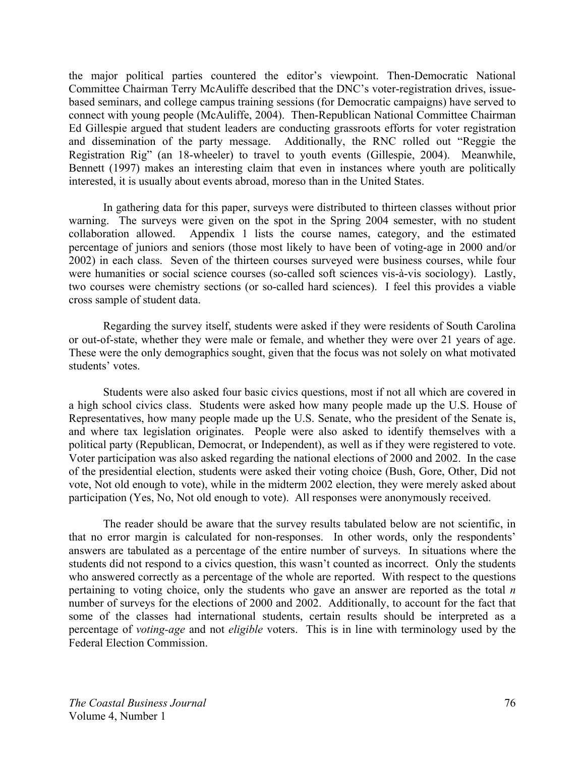the major political parties countered the editor's viewpoint. Then-Democratic National Committee Chairman Terry McAuliffe described that the DNC's voter-registration drives, issuebased seminars, and college campus training sessions (for Democratic campaigns) have served to connect with young people (McAuliffe, 2004). Then-Republican National Committee Chairman Ed Gillespie argued that student leaders are conducting grassroots efforts for voter registration and dissemination of the party message. Additionally, the RNC rolled out "Reggie the Registration Rig" (an 18-wheeler) to travel to youth events (Gillespie, 2004). Meanwhile, Bennett (1997) makes an interesting claim that even in instances where youth are politically interested, it is usually about events abroad, moreso than in the United States.

In gathering data for this paper, surveys were distributed to thirteen classes without prior warning. The surveys were given on the spot in the Spring 2004 semester, with no student collaboration allowed. Appendix 1 lists the course names, category, and the estimated percentage of juniors and seniors (those most likely to have been of voting-age in 2000 and/or 2002) in each class. Seven of the thirteen courses surveyed were business courses, while four were humanities or social science courses (so-called soft sciences vis-à-vis sociology). Lastly, two courses were chemistry sections (or so-called hard sciences). I feel this provides a viable cross sample of student data.

 Regarding the survey itself, students were asked if they were residents of South Carolina or out-of-state, whether they were male or female, and whether they were over 21 years of age. These were the only demographics sought, given that the focus was not solely on what motivated students' votes.

 Students were also asked four basic civics questions, most if not all which are covered in a high school civics class. Students were asked how many people made up the U.S. House of Representatives, how many people made up the U.S. Senate, who the president of the Senate is, and where tax legislation originates. People were also asked to identify themselves with a political party (Republican, Democrat, or Independent), as well as if they were registered to vote. Voter participation was also asked regarding the national elections of 2000 and 2002. In the case of the presidential election, students were asked their voting choice (Bush, Gore, Other, Did not vote, Not old enough to vote), while in the midterm 2002 election, they were merely asked about participation (Yes, No, Not old enough to vote). All responses were anonymously received.

 The reader should be aware that the survey results tabulated below are not scientific, in that no error margin is calculated for non-responses. In other words, only the respondents' answers are tabulated as a percentage of the entire number of surveys. In situations where the students did not respond to a civics question, this wasn't counted as incorrect. Only the students who answered correctly as a percentage of the whole are reported. With respect to the questions pertaining to voting choice, only the students who gave an answer are reported as the total *n* number of surveys for the elections of 2000 and 2002. Additionally, to account for the fact that some of the classes had international students, certain results should be interpreted as a percentage of *voting-age* and not *eligible* voters. This is in line with terminology used by the Federal Election Commission.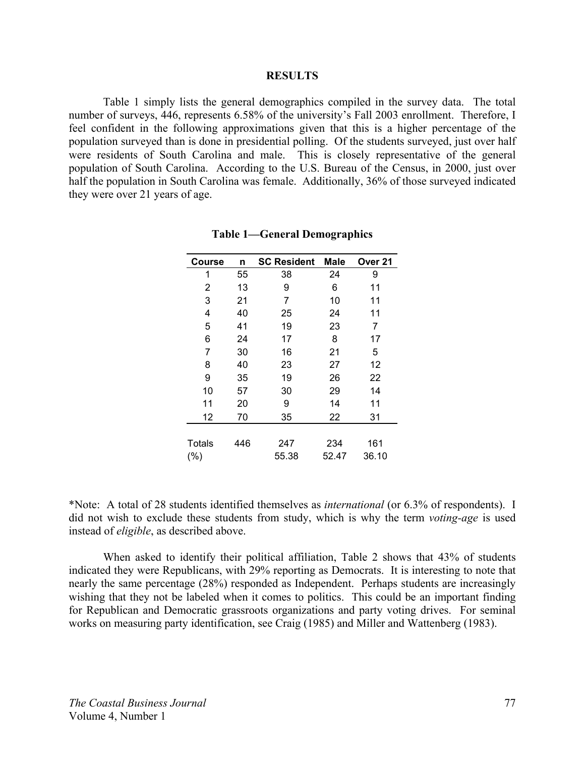#### **RESULTS**

 Table 1 simply lists the general demographics compiled in the survey data. The total number of surveys, 446, represents 6.58% of the university's Fall 2003 enrollment. Therefore, I feel confident in the following approximations given that this is a higher percentage of the population surveyed than is done in presidential polling. Of the students surveyed, just over half were residents of South Carolina and male. This is closely representative of the general population of South Carolina. According to the U.S. Bureau of the Census, in 2000, just over half the population in South Carolina was female. Additionally, 36% of those surveyed indicated they were over 21 years of age.

| <b>Course</b> | n   | <b>SC Resident</b> | <b>Male</b> | Over <sub>21</sub> |
|---------------|-----|--------------------|-------------|--------------------|
| 1             | 55  | 38                 | 24          | 9                  |
| 2             | 13  | 9                  | 6           | 11                 |
| 3             | 21  | 7                  | 10          | 11                 |
| 4             | 40  | 25                 | 24          | 11                 |
| 5             | 41  | 19                 | 23          | 7                  |
| 6             | 24  | 17                 | 8           | 17                 |
| 7             | 30  | 16                 | 21          | 5                  |
| 8             | 40  | 23                 | 27          | 12                 |
| 9             | 35  | 19                 | 26          | 22                 |
| 10            | 57  | 30                 | 29          | 14                 |
| 11            | 20  | 9                  | 14          | 11                 |
| 12            | 70  | 35                 | 22          | 31                 |
|               |     |                    |             |                    |
| <b>Totals</b> | 446 | 247                | 234         | 161                |
| (% )          |     | 55.38              | 52.47       | 36.10              |

| <b>Table 1—General Demographics</b> |  |  |
|-------------------------------------|--|--|
|-------------------------------------|--|--|

\*Note: A total of 28 students identified themselves as *international* (or 6.3% of respondents). I did not wish to exclude these students from study, which is why the term *voting-age* is used instead of *eligible*, as described above.

 When asked to identify their political affiliation, Table 2 shows that 43% of students indicated they were Republicans, with 29% reporting as Democrats. It is interesting to note that nearly the same percentage (28%) responded as Independent. Perhaps students are increasingly wishing that they not be labeled when it comes to politics. This could be an important finding for Republican and Democratic grassroots organizations and party voting drives. For seminal works on measuring party identification, see Craig (1985) and Miller and Wattenberg (1983).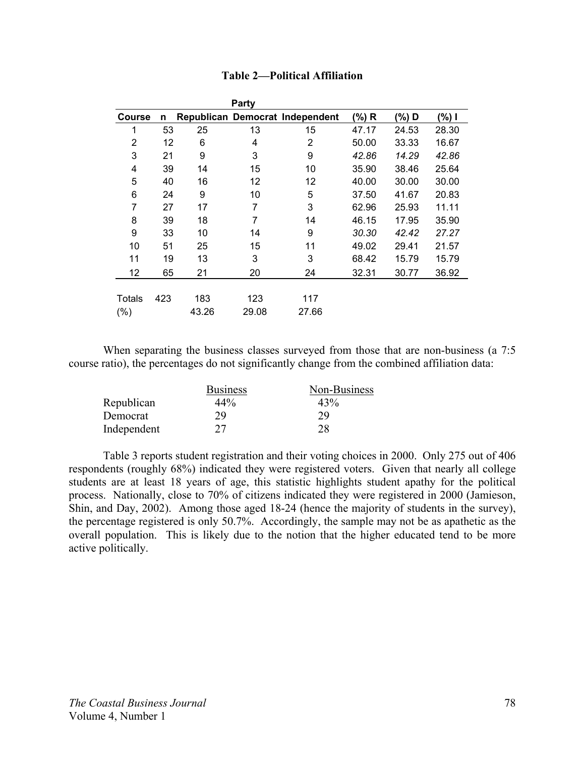| Party   |     |       |       |                                 |       |       |       |
|---------|-----|-------|-------|---------------------------------|-------|-------|-------|
| Course  | n   |       |       | Republican Democrat Independent | (%) R | (%) D | (%) I |
| 1       | 53  | 25    | 13    | 15                              | 47.17 | 24.53 | 28.30 |
| 2       | 12  | 6     | 4     | 2                               | 50.00 | 33.33 | 16.67 |
| 3       | 21  | 9     | 3     | 9                               | 42.86 | 14.29 | 42.86 |
| 4       | 39  | 14    | 15    | 10                              | 35.90 | 38.46 | 25.64 |
| 5       | 40  | 16    | 12    | 12                              | 40.00 | 30.00 | 30.00 |
| 6       | 24  | 9     | 10    | 5                               | 37.50 | 41.67 | 20.83 |
| 7       | 27  | 17    | 7     | 3                               | 62.96 | 25.93 | 11.11 |
| 8       | 39  | 18    | 7     | 14                              | 46.15 | 17.95 | 35.90 |
| 9       | 33  | 10    | 14    | 9                               | 30.30 | 42.42 | 27.27 |
| 10      | 51  | 25    | 15    | 11                              | 49.02 | 29.41 | 21.57 |
| 11      | 19  | 13    | 3     | 3                               | 68.42 | 15.79 | 15.79 |
| 12      | 65  | 21    | 20    | 24                              | 32.31 | 30.77 | 36.92 |
|         |     |       |       |                                 |       |       |       |
| Totals  | 423 | 183   | 123   | 117                             |       |       |       |
| $(\% )$ |     | 43.26 | 29.08 | 27.66                           |       |       |       |

# **Table 2—Political Affiliation**

When separating the business classes surveyed from those that are non-business (a 7:5 course ratio), the percentages do not significantly change from the combined affiliation data:

|             | <b>Business</b> | Non-Business |
|-------------|-----------------|--------------|
| Republican  | 44%             | 43%          |
| Democrat    | 29              | 29           |
| Independent |                 | 28           |

 Table 3 reports student registration and their voting choices in 2000. Only 275 out of 406 respondents (roughly 68%) indicated they were registered voters. Given that nearly all college students are at least 18 years of age, this statistic highlights student apathy for the political process. Nationally, close to 70% of citizens indicated they were registered in 2000 (Jamieson, Shin, and Day, 2002). Among those aged 18-24 (hence the majority of students in the survey), the percentage registered is only 50.7%. Accordingly, the sample may not be as apathetic as the overall population. This is likely due to the notion that the higher educated tend to be more active politically.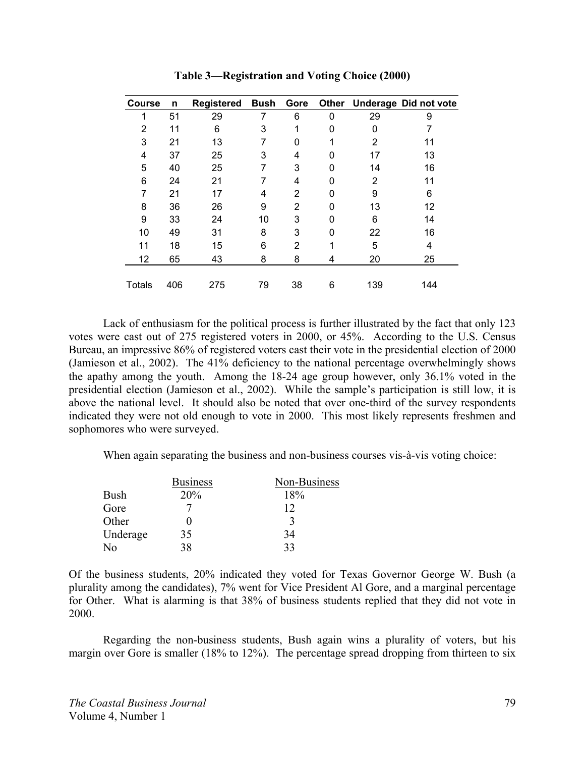| <b>Course</b> | n   | Registered | <b>Bush</b> | Gore           |   |     | Other Underage Did not vote |
|---------------|-----|------------|-------------|----------------|---|-----|-----------------------------|
| 1             | 51  | 29         | 7           | 6              | 0 | 29  | 9                           |
| 2             | 11  | 6          | 3           | 1              | 0 | 0   |                             |
| 3             | 21  | 13         |             | 0              | 1 | 2   | 11                          |
| 4             | 37  | 25         | 3           | 4              | 0 | 17  | 13                          |
| 5             | 40  | 25         |             | 3              | 0 | 14  | 16                          |
| 6             | 24  | 21         |             | 4              | 0 | 2   | 11                          |
| 7             | 21  | 17         | 4           | $\overline{2}$ | 0 | 9   | 6                           |
| 8             | 36  | 26         | 9           | $\overline{2}$ | 0 | 13  | 12                          |
| 9             | 33  | 24         | 10          | 3              | 0 | 6   | 14                          |
| 10            | 49  | 31         | 8           | 3              | 0 | 22  | 16                          |
| 11            | 18  | 15         | 6           | 2              | 1 | 5   | 4                           |
| 12            | 65  | 43         | 8           | 8              | 4 | 20  | 25                          |
|               |     |            |             |                |   |     |                             |
| <b>Totals</b> | 406 | 275        | 79          | 38             | 6 | 139 | 144                         |

**Table 3—Registration and Voting Choice (2000)** 

Lack of enthusiasm for the political process is further illustrated by the fact that only 123 votes were cast out of 275 registered voters in 2000, or 45%. According to the U.S. Census Bureau, an impressive 86% of registered voters cast their vote in the presidential election of 2000 (Jamieson et al., 2002). The 41% deficiency to the national percentage overwhelmingly shows the apathy among the youth. Among the 18-24 age group however, only 36.1% voted in the presidential election (Jamieson et al., 2002). While the sample's participation is still low, it is above the national level. It should also be noted that over one-third of the survey respondents indicated they were not old enough to vote in 2000. This most likely represents freshmen and sophomores who were surveyed.

When again separating the business and non-business courses vis-à-vis voting choice:

|             | <b>Business</b> | Non-Business |
|-------------|-----------------|--------------|
| <b>Bush</b> | 20%             | 18%          |
| Gore        |                 | 12           |
| Other       |                 |              |
| Underage    | 35              | 34           |
| N٥          | 38              | 33           |

Of the business students, 20% indicated they voted for Texas Governor George W. Bush (a plurality among the candidates), 7% went for Vice President Al Gore, and a marginal percentage for Other. What is alarming is that 38% of business students replied that they did not vote in 2000.

 Regarding the non-business students, Bush again wins a plurality of voters, but his margin over Gore is smaller (18% to 12%). The percentage spread dropping from thirteen to six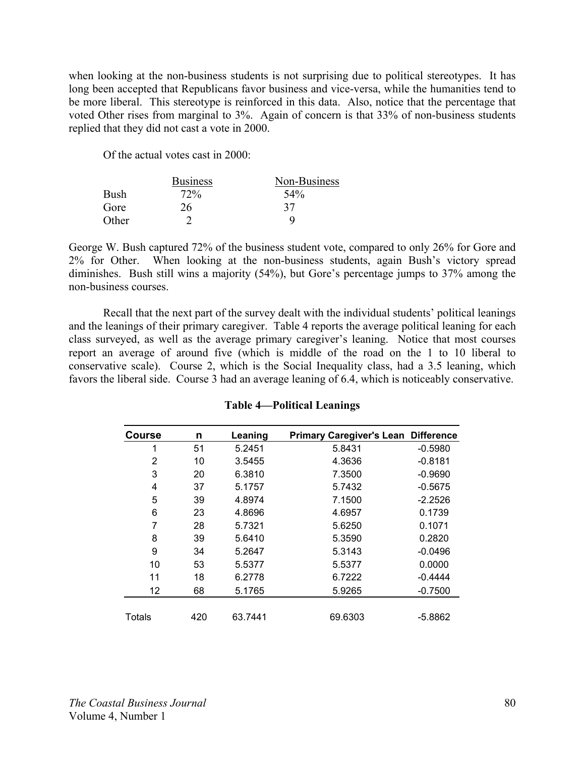when looking at the non-business students is not surprising due to political stereotypes. It has long been accepted that Republicans favor business and vice-versa, while the humanities tend to be more liberal. This stereotype is reinforced in this data. Also, notice that the percentage that voted Other rises from marginal to 3%. Again of concern is that 33% of non-business students replied that they did not cast a vote in 2000.

Of the actual votes cast in 2000:

|       | <b>Business</b> | Non-Business |
|-------|-----------------|--------------|
| Bush  | 72%             | 54%          |
| Gore  | 26              | 37           |
| Other |                 |              |

George W. Bush captured 72% of the business student vote, compared to only 26% for Gore and 2% for Other. When looking at the non-business students, again Bush's victory spread diminishes. Bush still wins a majority (54%), but Gore's percentage jumps to 37% among the non-business courses.

Recall that the next part of the survey dealt with the individual students' political leanings and the leanings of their primary caregiver. Table 4 reports the average political leaning for each class surveyed, as well as the average primary caregiver's leaning. Notice that most courses report an average of around five (which is middle of the road on the 1 to 10 liberal to conservative scale). Course 2, which is the Social Inequality class, had a 3.5 leaning, which favors the liberal side. Course 3 had an average leaning of 6.4, which is noticeably conservative.

| <b>Course</b> | n   | Leaning | <b>Primary Caregiver's Lean</b> | <b>Difference</b> |
|---------------|-----|---------|---------------------------------|-------------------|
| 1             | 51  | 5.2451  | 5.8431                          | $-0.5980$         |
| 2             | 10  | 3.5455  | 4.3636                          | $-0.8181$         |
| 3             | 20  | 6.3810  | 7.3500                          | $-0.9690$         |
| 4             | 37  | 5.1757  | 5.7432                          | $-0.5675$         |
| 5             | 39  | 4.8974  | 7.1500                          | $-2.2526$         |
| 6             | 23  | 4.8696  | 4.6957                          | 0.1739            |
| 7             | 28  | 5.7321  | 5.6250                          | 0.1071            |
| 8             | 39  | 5.6410  | 5.3590                          | 0.2820            |
| 9             | 34  | 5.2647  | 5.3143                          | $-0.0496$         |
| 10            | 53  | 5.5377  | 5.5377                          | 0.0000            |
| 11            | 18  | 6.2778  | 6.7222                          | $-0.4444$         |
| 12            | 68  | 5.1765  | 5.9265                          | $-0.7500$         |
|               |     |         |                                 |                   |
| <b>Totals</b> | 420 | 63.7441 | 69.6303                         | $-5.8862$         |

# **Table 4—Political Leanings**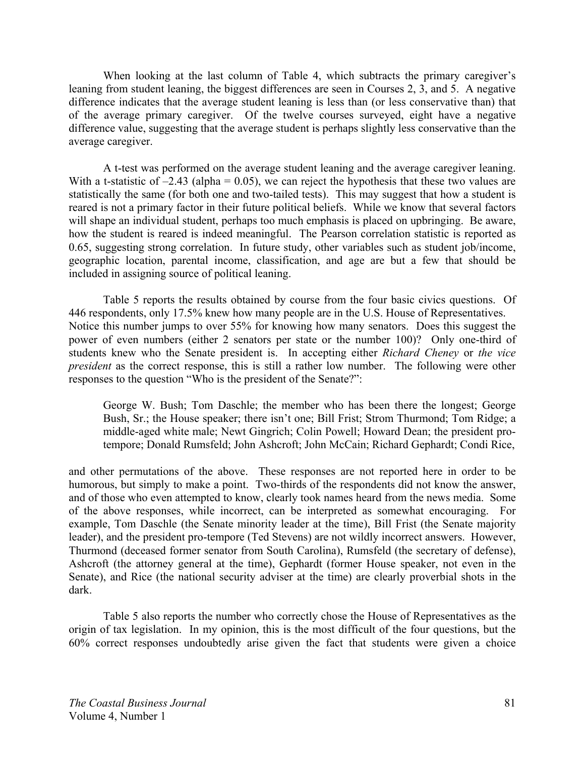When looking at the last column of Table 4, which subtracts the primary caregiver's leaning from student leaning, the biggest differences are seen in Courses 2, 3, and 5. A negative difference indicates that the average student leaning is less than (or less conservative than) that of the average primary caregiver. Of the twelve courses surveyed, eight have a negative difference value, suggesting that the average student is perhaps slightly less conservative than the average caregiver.

A t-test was performed on the average student leaning and the average caregiver leaning. With a t-statistic of  $-2.43$  (alpha = 0.05), we can reject the hypothesis that these two values are statistically the same (for both one and two-tailed tests). This may suggest that how a student is reared is not a primary factor in their future political beliefs. While we know that several factors will shape an individual student, perhaps too much emphasis is placed on upbringing. Be aware, how the student is reared is indeed meaningful. The Pearson correlation statistic is reported as 0.65, suggesting strong correlation. In future study, other variables such as student job/income, geographic location, parental income, classification, and age are but a few that should be included in assigning source of political leaning.

 Table 5 reports the results obtained by course from the four basic civics questions. Of 446 respondents, only 17.5% knew how many people are in the U.S. House of Representatives. Notice this number jumps to over 55% for knowing how many senators. Does this suggest the power of even numbers (either 2 senators per state or the number 100)? Only one-third of students knew who the Senate president is. In accepting either *Richard Cheney* or *the vice president* as the correct response, this is still a rather low number. The following were other responses to the question "Who is the president of the Senate?":

George W. Bush; Tom Daschle; the member who has been there the longest; George Bush, Sr.; the House speaker; there isn't one; Bill Frist; Strom Thurmond; Tom Ridge; a middle-aged white male; Newt Gingrich; Colin Powell; Howard Dean; the president protempore; Donald Rumsfeld; John Ashcroft; John McCain; Richard Gephardt; Condi Rice,

and other permutations of the above. These responses are not reported here in order to be humorous, but simply to make a point. Two-thirds of the respondents did not know the answer, and of those who even attempted to know, clearly took names heard from the news media. Some of the above responses, while incorrect, can be interpreted as somewhat encouraging. For example, Tom Daschle (the Senate minority leader at the time), Bill Frist (the Senate majority leader), and the president pro-tempore (Ted Stevens) are not wildly incorrect answers. However, Thurmond (deceased former senator from South Carolina), Rumsfeld (the secretary of defense), Ashcroft (the attorney general at the time), Gephardt (former House speaker, not even in the Senate), and Rice (the national security adviser at the time) are clearly proverbial shots in the dark.

 Table 5 also reports the number who correctly chose the House of Representatives as the origin of tax legislation. In my opinion, this is the most difficult of the four questions, but the 60% correct responses undoubtedly arise given the fact that students were given a choice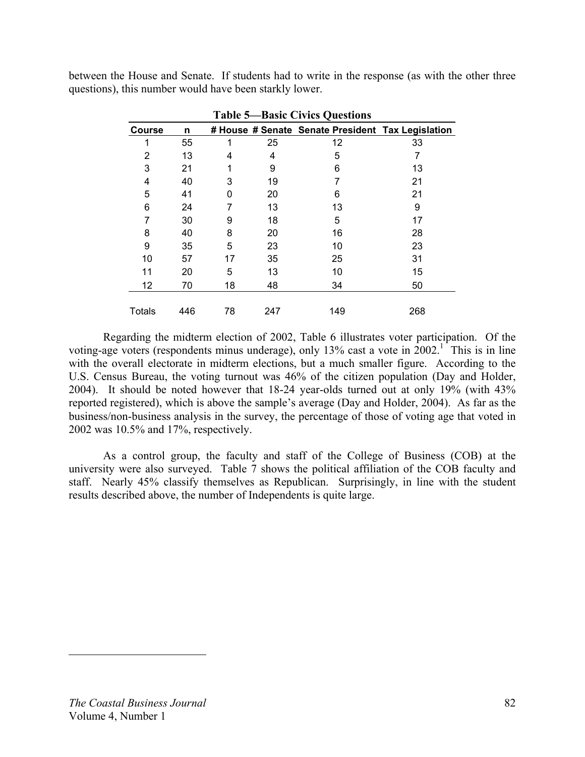between the House and Senate. If students had to write in the response (as with the other three questions), this number would have been starkly lower.

| <b>Table 5—Basic Civics Questions</b> |     |    |     |                                                   |     |  |
|---------------------------------------|-----|----|-----|---------------------------------------------------|-----|--|
| <b>Course</b>                         | n   |    |     | # House # Senate Senate President Tax Legislation |     |  |
| 1                                     | 55  | 1  | 25  | 12                                                | 33  |  |
| 2                                     | 13  | 4  | 4   | 5                                                 |     |  |
| 3                                     | 21  |    | 9   | 6                                                 | 13  |  |
| 4                                     | 40  | 3  | 19  | 7                                                 | 21  |  |
| 5                                     | 41  | O  | 20  | 6                                                 | 21  |  |
| 6                                     | 24  |    | 13  | 13                                                | 9   |  |
| 7                                     | 30  | 9  | 18  | 5                                                 | 17  |  |
| 8                                     | 40  | 8  | 20  | 16                                                | 28  |  |
| 9                                     | 35  | 5  | 23  | 10                                                | 23  |  |
| 10                                    | 57  | 17 | 35  | 25                                                | 31  |  |
| 11                                    | 20  | 5  | 13  | 10                                                | 15  |  |
| 12                                    | 70  | 18 | 48  | 34                                                | 50  |  |
| <b>Totals</b>                         | 446 | 78 | 247 | 149                                               | 268 |  |

 Regarding the midterm election of 2002, Table 6 illustrates voter participation. Of the voting-age voters (respondents minus underage), only 13% cast a vote in  $2002$ .<sup>1</sup> This is in line with the overall electorate in midterm elections, but a much smaller figure. According to the U.S. Census Bureau, the voting turnout was 46% of the citizen population (Day and Holder, 2004). It should be noted however that 18-24 year-olds turned out at only 19% (with 43% reported registered), which is above the sample's average (Day and Holder, 2004). As far as the business/non-business analysis in the survey, the percentage of those of voting age that voted in 2002 was 10.5% and 17%, respectively.

As a control group, the faculty and staff of the College of Business (COB) at the university were also surveyed. Table 7 shows the political affiliation of the COB faculty and staff. Nearly 45% classify themselves as Republican. Surprisingly, in line with the student results described above, the number of Independents is quite large.

<u>.</u>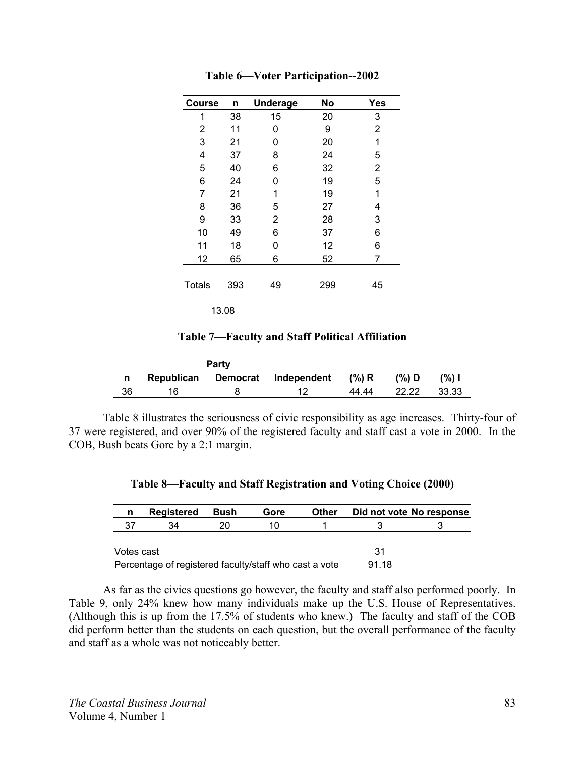| Course        | n   | <b>Underage</b> | <b>No</b> | <b>Yes</b> |
|---------------|-----|-----------------|-----------|------------|
| 1             | 38  | 15              | 20        | 3          |
| 2             | 11  | 0               | 9         | 2          |
| 3             | 21  | 0               | 20        | 1          |
| 4             | 37  | 8               | 24        | 5          |
| 5             | 40  | 6               | 32        | 2          |
| 6             | 24  | 0               | 19        | 5          |
| 7             | 21  | 1               | 19        | 1          |
| 8             | 36  | 5               | 27        | 4          |
| 9             | 33  | 2               | 28        | 3          |
| 10            | 49  | 6               | 37        | 6          |
| 11            | 18  | 0               | 12        | 6          |
| 12            | 65  | 6               | 52        | 7          |
| <b>Totals</b> | 393 | 49              | 299       | 45         |
| 13.08         |     |                 |           |            |

**Table 6—Voter Participation--2002** 

**Table 7—Faculty and Staff Political Affiliation** 

|    |            | Party           |             |          |       |       |
|----|------------|-----------------|-------------|----------|-------|-------|
| n  | Republican | <b>Democrat</b> | Independent | $(\%)$ R | '%) D | (%)   |
| 36 |            |                 | 10          | 44 44    |       | 33.33 |

 Table 8 illustrates the seriousness of civic responsibility as age increases. Thirty-four of 37 were registered, and over 90% of the registered faculty and staff cast a vote in 2000. In the COB, Bush beats Gore by a 2:1 margin.

|  | Table 8—Faculty and Staff Registration and Voting Choice (2000) |  |
|--|-----------------------------------------------------------------|--|
|--|-----------------------------------------------------------------|--|

| n                                                      | <b>Registered</b> | <b>Bush</b> | Gore | Other | Did not vote No response |  |
|--------------------------------------------------------|-------------------|-------------|------|-------|--------------------------|--|
| 37                                                     | 34                | 20.         | 11)  |       |                          |  |
|                                                        |                   |             |      |       | 31                       |  |
| Votes cast                                             |                   |             |      |       |                          |  |
| Percentage of registered faculty/staff who cast a vote |                   |             |      |       | 91.18                    |  |

 As far as the civics questions go however, the faculty and staff also performed poorly. In Table 9, only 24% knew how many individuals make up the U.S. House of Representatives. (Although this is up from the 17.5% of students who knew.) The faculty and staff of the COB did perform better than the students on each question, but the overall performance of the faculty and staff as a whole was not noticeably better.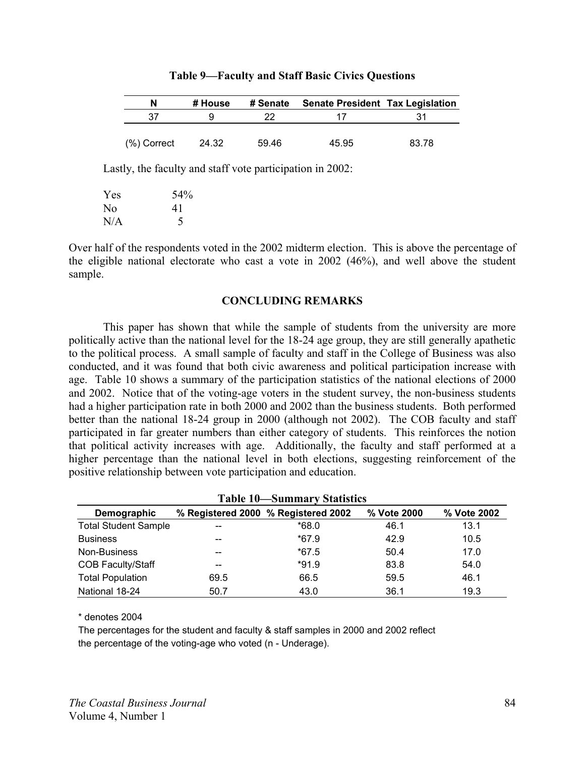| N              | # House | # Senate | <b>Senate President Tax Legislation</b> |       |
|----------------|---------|----------|-----------------------------------------|-------|
| 37             |         | つつ       |                                         | 31    |
|                |         |          |                                         |       |
| $(\%)$ Correct | 24.32   | 59.46    | 45.95                                   | 83.78 |

| Table 9—Faculty and Staff Basic Civics Questions |  |
|--------------------------------------------------|--|
|--------------------------------------------------|--|

Lastly, the faculty and staff vote participation in 2002:

| Yes | 54% |
|-----|-----|
| No  | 41  |
| N/A | 5   |

Over half of the respondents voted in the 2002 midterm election. This is above the percentage of the eligible national electorate who cast a vote in 2002 (46%), and well above the student sample.

# **CONCLUDING REMARKS**

 This paper has shown that while the sample of students from the university are more politically active than the national level for the 18-24 age group, they are still generally apathetic to the political process. A small sample of faculty and staff in the College of Business was also conducted, and it was found that both civic awareness and political participation increase with age. Table 10 shows a summary of the participation statistics of the national elections of 2000 and 2002. Notice that of the voting-age voters in the student survey, the non-business students had a higher participation rate in both 2000 and 2002 than the business students. Both performed better than the national 18-24 group in 2000 (although not 2002). The COB faculty and staff participated in far greater numbers than either category of students. This reinforces the notion that political activity increases with age. Additionally, the faculty and staff performed at a higher percentage than the national level in both elections, suggesting reinforcement of the positive relationship between vote participation and education.

| Table TV—Summary Statistics |      |                                     |             |             |  |
|-----------------------------|------|-------------------------------------|-------------|-------------|--|
| Demographic                 |      | % Registered 2000 % Registered 2002 | % Vote 2000 | % Vote 2002 |  |
| <b>Total Student Sample</b> | $-$  | *68.0                               | 46.1        | 13.1        |  |
| <b>Business</b>             | --   | $*67.9$                             | 42.9        | 10.5        |  |
| Non-Business                | $-$  | $*67.5$                             | 50.4        | 17.0        |  |
| <b>COB Faculty/Staff</b>    | --   | $*91.9$                             | 83.8        | 54.0        |  |
| <b>Total Population</b>     | 69.5 | 66.5                                | 59.5        | 46.1        |  |
| National 18-24              | 50.7 | 43.0                                | 36.1        | 19.3        |  |

**Table 10—Summary Statistics** 

\* denotes 2004

The percentages for the student and faculty & staff samples in 2000 and 2002 reflect the percentage of the voting-age who voted (n - Underage).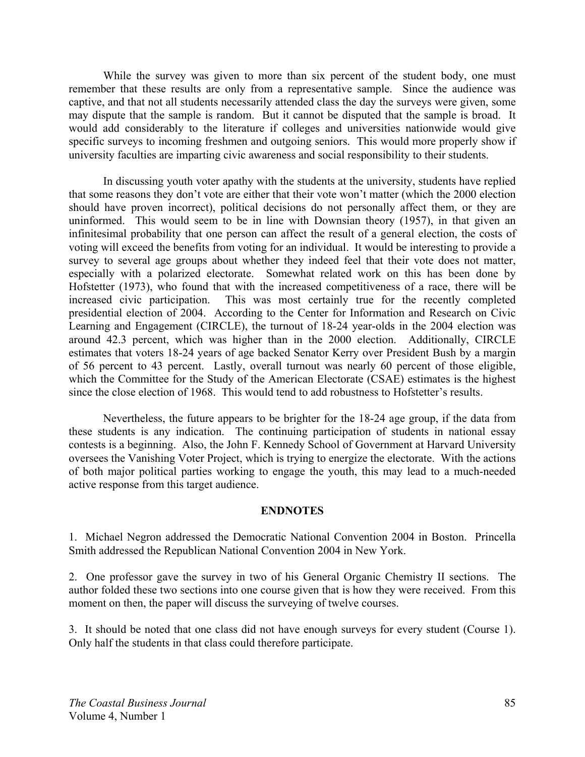While the survey was given to more than six percent of the student body, one must remember that these results are only from a representative sample. Since the audience was captive, and that not all students necessarily attended class the day the surveys were given, some may dispute that the sample is random. But it cannot be disputed that the sample is broad. It would add considerably to the literature if colleges and universities nationwide would give specific surveys to incoming freshmen and outgoing seniors. This would more properly show if university faculties are imparting civic awareness and social responsibility to their students.

 In discussing youth voter apathy with the students at the university, students have replied that some reasons they don't vote are either that their vote won't matter (which the 2000 election should have proven incorrect), political decisions do not personally affect them, or they are uninformed. This would seem to be in line with Downsian theory (1957), in that given an infinitesimal probability that one person can affect the result of a general election, the costs of voting will exceed the benefits from voting for an individual. It would be interesting to provide a survey to several age groups about whether they indeed feel that their vote does not matter, especially with a polarized electorate. Somewhat related work on this has been done by Hofstetter (1973), who found that with the increased competitiveness of a race, there will be increased civic participation. This was most certainly true for the recently completed presidential election of 2004. According to the Center for Information and Research on Civic Learning and Engagement (CIRCLE), the turnout of 18-24 year-olds in the 2004 election was around 42.3 percent, which was higher than in the 2000 election. Additionally, CIRCLE estimates that voters 18-24 years of age backed Senator Kerry over President Bush by a margin of 56 percent to 43 percent. Lastly, overall turnout was nearly 60 percent of those eligible, which the Committee for the Study of the American Electorate (CSAE) estimates is the highest since the close election of 1968. This would tend to add robustness to Hofstetter's results.

 Nevertheless, the future appears to be brighter for the 18-24 age group, if the data from these students is any indication. The continuing participation of students in national essay contests is a beginning. Also, the John F. Kennedy School of Government at Harvard University oversees the Vanishing Voter Project, which is trying to energize the electorate. With the actions of both major political parties working to engage the youth, this may lead to a much-needed active response from this target audience.

# **ENDNOTES**

1. Michael Negron addressed the Democratic National Convention 2004 in Boston. Princella Smith addressed the Republican National Convention 2004 in New York.

2. One professor gave the survey in two of his General Organic Chemistry II sections. The author folded these two sections into one course given that is how they were received. From this moment on then, the paper will discuss the surveying of twelve courses.

3. It should be noted that one class did not have enough surveys for every student (Course 1). Only half the students in that class could therefore participate.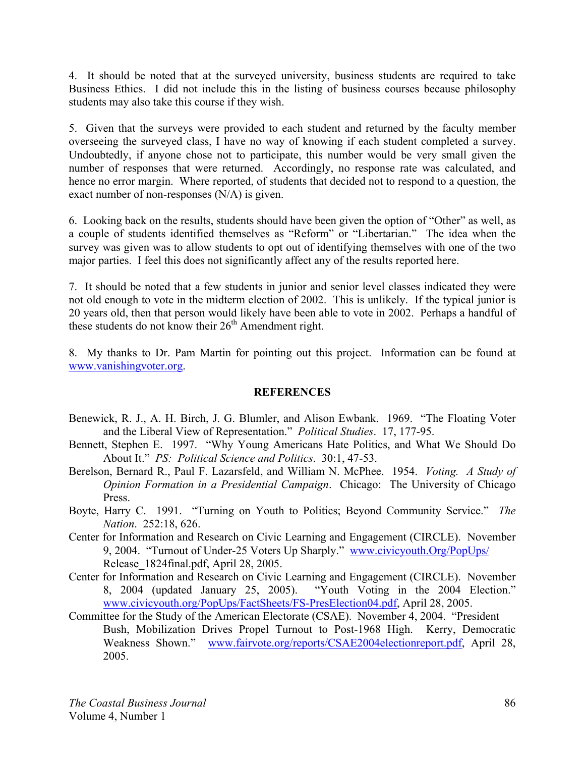4. It should be noted that at the surveyed university, business students are required to take Business Ethics. I did not include this in the listing of business courses because philosophy students may also take this course if they wish.

5. Given that the surveys were provided to each student and returned by the faculty member overseeing the surveyed class, I have no way of knowing if each student completed a survey. Undoubtedly, if anyone chose not to participate, this number would be very small given the number of responses that were returned. Accordingly, no response rate was calculated, and hence no error margin. Where reported, of students that decided not to respond to a question, the exact number of non-responses (N/A) is given.

6. Looking back on the results, students should have been given the option of "Other" as well, as a couple of students identified themselves as "Reform" or "Libertarian." The idea when the survey was given was to allow students to opt out of identifying themselves with one of the two major parties. I feel this does not significantly affect any of the results reported here.

7. It should be noted that a few students in junior and senior level classes indicated they were not old enough to vote in the midterm election of 2002. This is unlikely. If the typical junior is 20 years old, then that person would likely have been able to vote in 2002. Perhaps a handful of these students do not know their  $26<sup>th</sup>$  Amendment right.

8. My thanks to Dr. Pam Martin for pointing out this project. Information can be found at www.vanishingvoter.org.

# **REFERENCES**

- Benewick, R. J., A. H. Birch, J. G. Blumler, and Alison Ewbank. 1969. "The Floating Voter and the Liberal View of Representation." *Political Studies*. 17, 177-95.
- Bennett, Stephen E. 1997. "Why Young Americans Hate Politics, and What We Should Do About It." *PS: Political Science and Politics*. 30:1, 47-53.
- Berelson, Bernard R., Paul F. Lazarsfeld, and William N. McPhee. 1954. *Voting. A Study of Opinion Formation in a Presidential Campaign*. Chicago: The University of Chicago Press.
- Boyte, Harry C. 1991. "Turning on Youth to Politics; Beyond Community Service." *The Nation*. 252:18, 626.
- Center for Information and Research on Civic Learning and Engagement (CIRCLE). November 9, 2004. "Turnout of Under-25 Voters Up Sharply." www.civicyouth.Org/PopUps/ Release\_1824final.pdf, April 28, 2005.
- Center for Information and Research on Civic Learning and Engagement (CIRCLE). November 8, 2004 (updated January 25, 2005). "Youth Voting in the 2004 Election." www.civicyouth.org/PopUps/FactSheets/FS-PresElection04.pdf, April 28, 2005.
- Committee for the Study of the American Electorate (CSAE). November 4, 2004. "President Bush, Mobilization Drives Propel Turnout to Post-1968 High. Kerry, Democratic Weakness Shown." www.fairvote.org/reports/CSAE2004electionreport.pdf, April 28, 2005.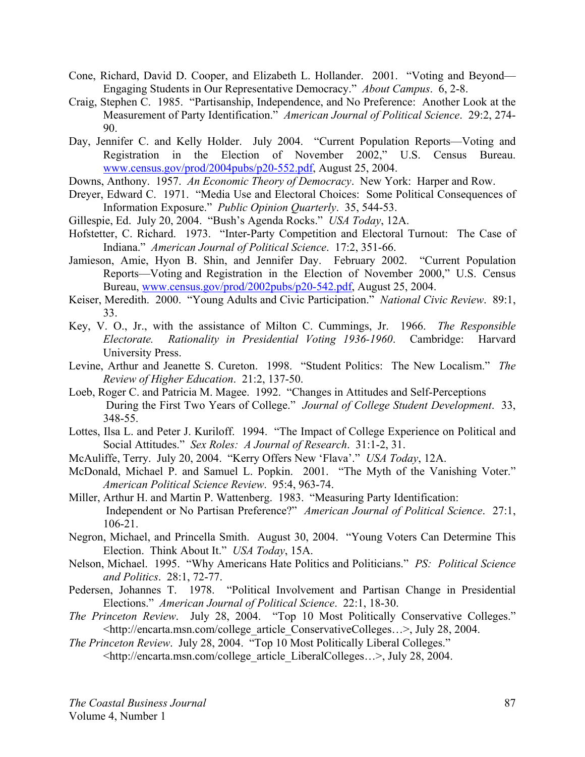- Cone, Richard, David D. Cooper, and Elizabeth L. Hollander. 2001. "Voting and Beyond— Engaging Students in Our Representative Democracy." *About Campus*. 6, 2-8.
- Craig, Stephen C. 1985. "Partisanship, Independence, and No Preference: Another Look at the Measurement of Party Identification." *American Journal of Political Science*. 29:2, 274- 90.
- Day, Jennifer C. and Kelly Holder. July 2004. "Current Population Reports—Voting and Registration in the Election of November 2002," U.S. Census Bureau. www.census.gov/prod/2004pubs/p20-552.pdf, August 25, 2004.
- Downs, Anthony. 1957. *An Economic Theory of Democracy*. New York: Harper and Row.
- Dreyer, Edward C. 1971. "Media Use and Electoral Choices: Some Political Consequences of Information Exposure." *Public Opinion Quarterly*. 35, 544-53.
- Gillespie, Ed. July 20, 2004. "Bush's Agenda Rocks." *USA Today*, 12A.
- Hofstetter, C. Richard. 1973. "Inter-Party Competition and Electoral Turnout: The Case of Indiana." *American Journal of Political Science*. 17:2, 351-66.
- Jamieson, Amie, Hyon B. Shin, and Jennifer Day. February 2002. "Current Population Reports—Voting and Registration in the Election of November 2000," U.S. Census Bureau, www.census.gov/prod/2002pubs/p20-542.pdf, August 25, 2004.
- Keiser, Meredith. 2000. "Young Adults and Civic Participation." *National Civic Review*. 89:1, 33.
- Key, V. O., Jr., with the assistance of Milton C. Cummings, Jr. 1966. *The Responsible Electorate. Rationality in Presidential Voting 1936-1960*. Cambridge: Harvard University Press.
- Levine, Arthur and Jeanette S. Cureton. 1998. "Student Politics: The New Localism." *The Review of Higher Education*. 21:2, 137-50.
- Loeb, Roger C. and Patricia M. Magee. 1992. "Changes in Attitudes and Self-Perceptions During the First Two Years of College." *Journal of College Student Development*. 33, 348-55.
- Lottes, Ilsa L. and Peter J. Kuriloff. 1994. "The Impact of College Experience on Political and Social Attitudes." *Sex Roles: A Journal of Research*. 31:1-2, 31.
- McAuliffe, Terry. July 20, 2004. "Kerry Offers New 'Flava'." *USA Today*, 12A.
- McDonald, Michael P. and Samuel L. Popkin. 2001. "The Myth of the Vanishing Voter." *American Political Science Review*. 95:4, 963-74.
- Miller, Arthur H. and Martin P. Wattenberg. 1983. "Measuring Party Identification: Independent or No Partisan Preference?" *American Journal of Political Science*. 27:1, 106-21.
- Negron, Michael, and Princella Smith. August 30, 2004. "Young Voters Can Determine This Election. Think About It." *USA Today*, 15A.
- Nelson, Michael. 1995. "Why Americans Hate Politics and Politicians." *PS: Political Science and Politics*. 28:1, 72-77.
- Pedersen, Johannes T. 1978. "Political Involvement and Partisan Change in Presidential Elections." *American Journal of Political Science*. 22:1, 18-30.
- *The Princeton Review*. July 28, 2004. "Top 10 Most Politically Conservative Colleges." <http://encarta.msn.com/college\_article\_ConservativeColleges…>, July 28, 2004.
- *The Princeton Review*. July 28, 2004. "Top 10 Most Politically Liberal Colleges." <http://encarta.msn.com/college\_article\_LiberalColleges…>, July 28, 2004.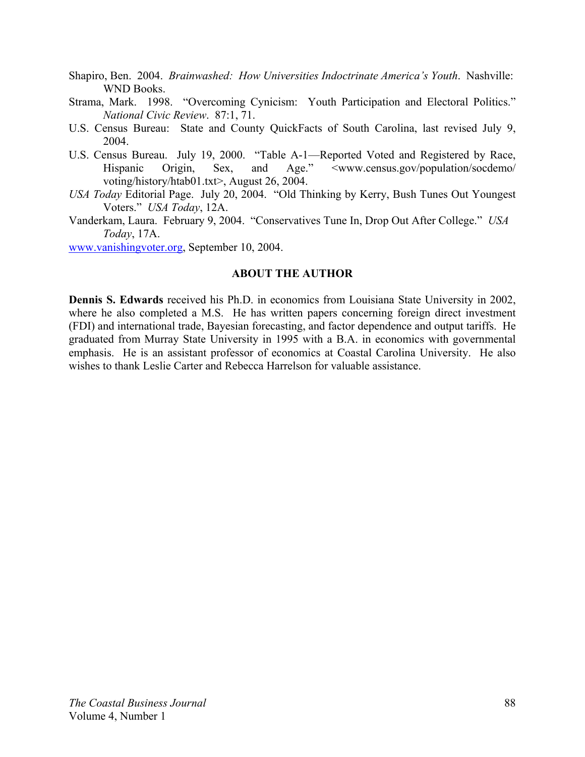- Shapiro, Ben. 2004. *Brainwashed: How Universities Indoctrinate America's Youth*. Nashville: WND Books.
- Strama, Mark. 1998. "Overcoming Cynicism: Youth Participation and Electoral Politics." *National Civic Review*. 87:1, 71.
- U.S. Census Bureau: State and County QuickFacts of South Carolina, last revised July 9, 2004.
- U.S. Census Bureau. July 19, 2000. "Table A-1—Reported Voted and Registered by Race, Hispanic Origin, Sex, and Age." <www.census.gov/population/socdemo/ voting/history/htab01.txt>, August 26, 2004.
- *USA Today* Editorial Page. July 20, 2004. "Old Thinking by Kerry, Bush Tunes Out Youngest Voters." *USA Today*, 12A.
- Vanderkam, Laura. February 9, 2004. "Conservatives Tune In, Drop Out After College." *USA Today*, 17A.

www.vanishingvoter.org, September 10, 2004.

# **ABOUT THE AUTHOR**

**Dennis S. Edwards** received his Ph.D. in economics from Louisiana State University in 2002, where he also completed a M.S. He has written papers concerning foreign direct investment (FDI) and international trade, Bayesian forecasting, and factor dependence and output tariffs. He graduated from Murray State University in 1995 with a B.A. in economics with governmental emphasis. He is an assistant professor of economics at Coastal Carolina University. He also wishes to thank Leslie Carter and Rebecca Harrelson for valuable assistance.